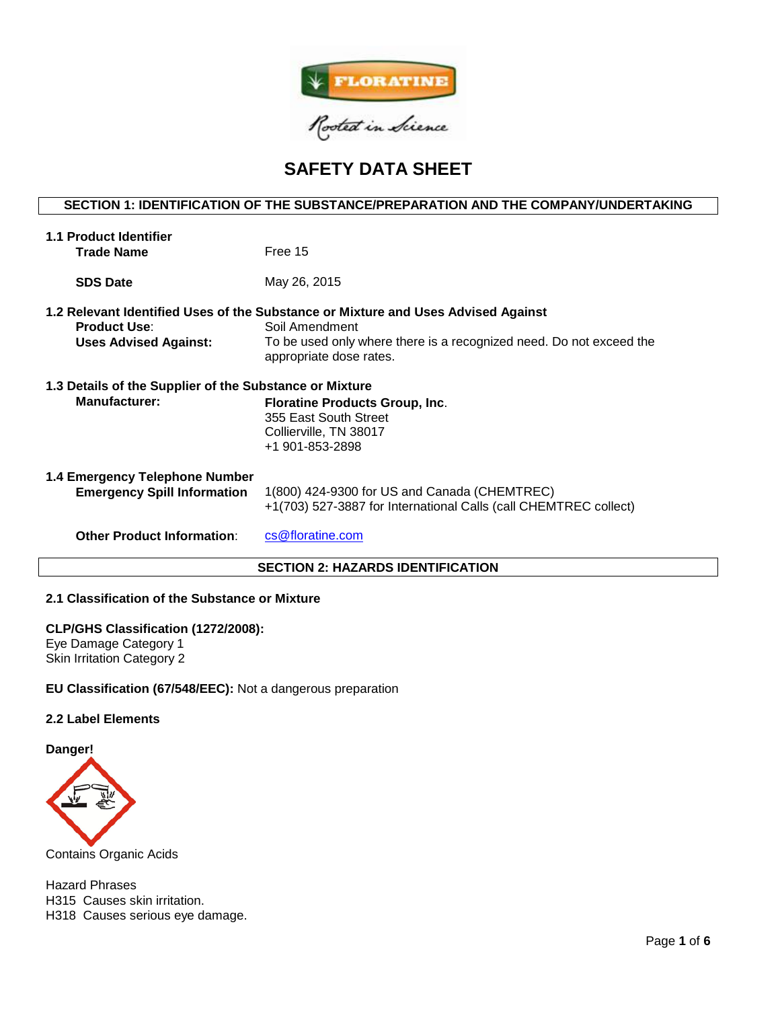

# **SAFETY DATA SHEET**

# **SECTION 1: IDENTIFICATION OF THE SUBSTANCE/PREPARATION AND THE COMPANY/UNDERTAKING**

| <b>1.1 Product Identifier</b>                           |                                                                                                                                                                                                       |  |  |  |  |  |
|---------------------------------------------------------|-------------------------------------------------------------------------------------------------------------------------------------------------------------------------------------------------------|--|--|--|--|--|
| <b>Trade Name</b>                                       | Free 15                                                                                                                                                                                               |  |  |  |  |  |
| <b>SDS Date</b>                                         | May 26, 2015                                                                                                                                                                                          |  |  |  |  |  |
| <b>Product Use:</b><br><b>Uses Advised Against:</b>     | 1.2 Relevant Identified Uses of the Substance or Mixture and Uses Advised Against<br>Soil Amendment<br>To be used only where there is a recognized need. Do not exceed the<br>appropriate dose rates. |  |  |  |  |  |
| 1.3 Details of the Supplier of the Substance or Mixture |                                                                                                                                                                                                       |  |  |  |  |  |
| <b>Manufacturer:</b>                                    | Floratine Products Group, Inc.<br>355 East South Street<br>Collierville, TN 38017<br>+1 901-853-2898                                                                                                  |  |  |  |  |  |
| 1.4 Emergency Telephone Number                          |                                                                                                                                                                                                       |  |  |  |  |  |
| <b>Emergency Spill Information</b>                      | 1(800) 424-9300 for US and Canada (CHEMTREC)<br>+1(703) 527-3887 for International Calls (call CHEMTREC collect)                                                                                      |  |  |  |  |  |
| <b>Other Product Information:</b>                       | cs@floratine.com                                                                                                                                                                                      |  |  |  |  |  |
| <b>SECTION 2: HAZARDS IDENTIFICATION</b>                |                                                                                                                                                                                                       |  |  |  |  |  |

# **2.1 Classification of the Substance or Mixture**

## **CLP/GHS Classification (1272/2008):**

Eye Damage Category 1 Skin Irritation Category 2

**EU Classification (67/548/EEC):** Not a dangerous preparation

# **2.2 Label Elements**

**Danger!**



Contains Organic Acids

Hazard Phrases H315 Causes skin irritation. H318 Causes serious eye damage.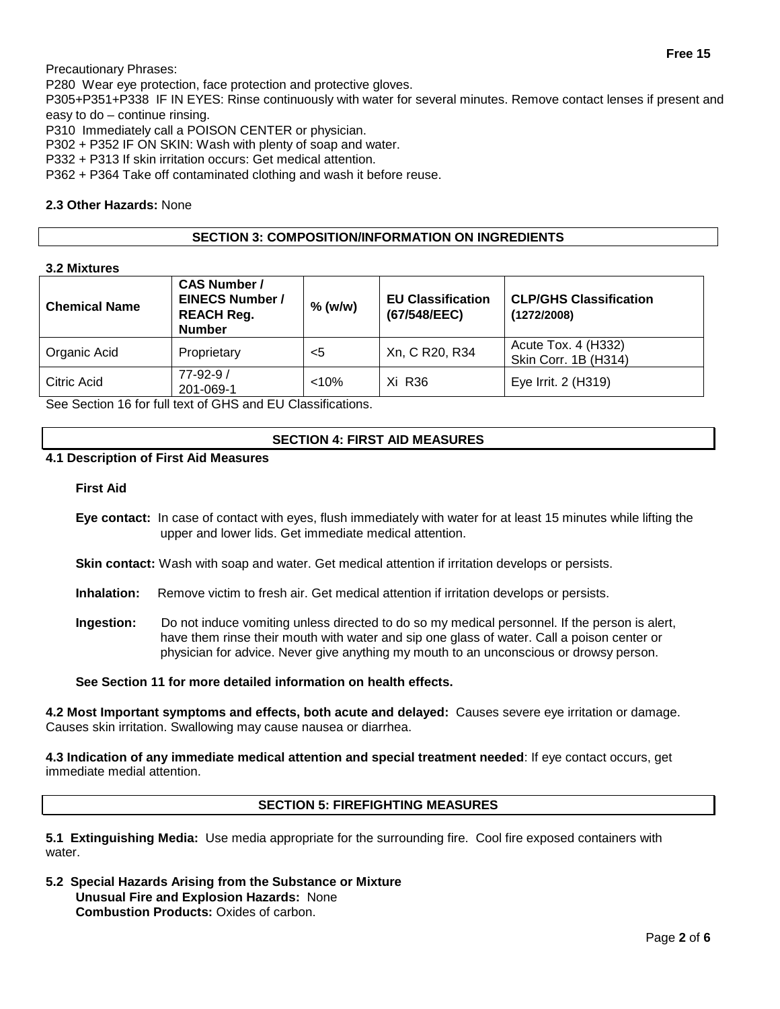Precautionary Phrases:

P280 Wear eye protection, face protection and protective gloves.

P305+P351+P338 IF IN EYES: Rinse continuously with water for several minutes. Remove contact lenses if present and easy to do – continue rinsing.

P310 Immediately call a POISON CENTER or physician.

P302 + P352 IF ON SKIN: Wash with plenty of soap and water.

P332 + P313 If skin irritation occurs: Get medical attention.

P362 + P364 Take off contaminated clothing and wash it before reuse.

## **2.3 Other Hazards:** None

## **SECTION 3: COMPOSITION/INFORMATION ON INGREDIENTS**

## **3.2 Mixtures**

| <b>Chemical Name</b> | <b>CAS Number /</b><br><b>EINECS Number /</b><br><b>REACH Reg.</b><br><b>Number</b> | $%$ (w/w) | <b>EU Classification</b><br>(67/548/EEC) | <b>CLP/GHS Classification</b><br>(1272/2008) |
|----------------------|-------------------------------------------------------------------------------------|-----------|------------------------------------------|----------------------------------------------|
| Organic Acid         | Proprietary                                                                         | <5        | Xn, C R20, R34                           | Acute Tox. 4 (H332)<br>Skin Corr. 1B (H314)  |
| Citric Acid          | $77 - 92 - 9/$<br>201-069-1                                                         | < 10%     | Xi R36                                   | Eye Irrit. 2 (H319)                          |

See Section 16 for full text of GHS and EU Classifications.

## **SECTION 4: FIRST AID MEASURES**

# **4.1 Description of First Aid Measures**

## **First Aid**

- **Eye contact:** In case of contact with eyes, flush immediately with water for at least 15 minutes while lifting the upper and lower lids. Get immediate medical attention.
- **Skin contact:** Wash with soap and water. Get medical attention if irritation develops or persists.
- **Inhalation:** Remove victim to fresh air. Get medical attention if irritation develops or persists.
- **Ingestion:** Do not induce vomiting unless directed to do so my medical personnel. If the person is alert, have them rinse their mouth with water and sip one glass of water. Call a poison center or physician for advice. Never give anything my mouth to an unconscious or drowsy person.

## **See Section 11 for more detailed information on health effects.**

**4.2 Most Important symptoms and effects, both acute and delayed:** Causes severe eye irritation or damage. Causes skin irritation. Swallowing may cause nausea or diarrhea.

**4.3 Indication of any immediate medical attention and special treatment needed**: If eye contact occurs, get immediate medial attention.

## **SECTION 5: FIREFIGHTING MEASURES**

**5.1 Extinguishing Media:** Use media appropriate for the surrounding fire. Cool fire exposed containers with water

**5.2 Special Hazards Arising from the Substance or Mixture Unusual Fire and Explosion Hazards:** None **Combustion Products:** Oxides of carbon.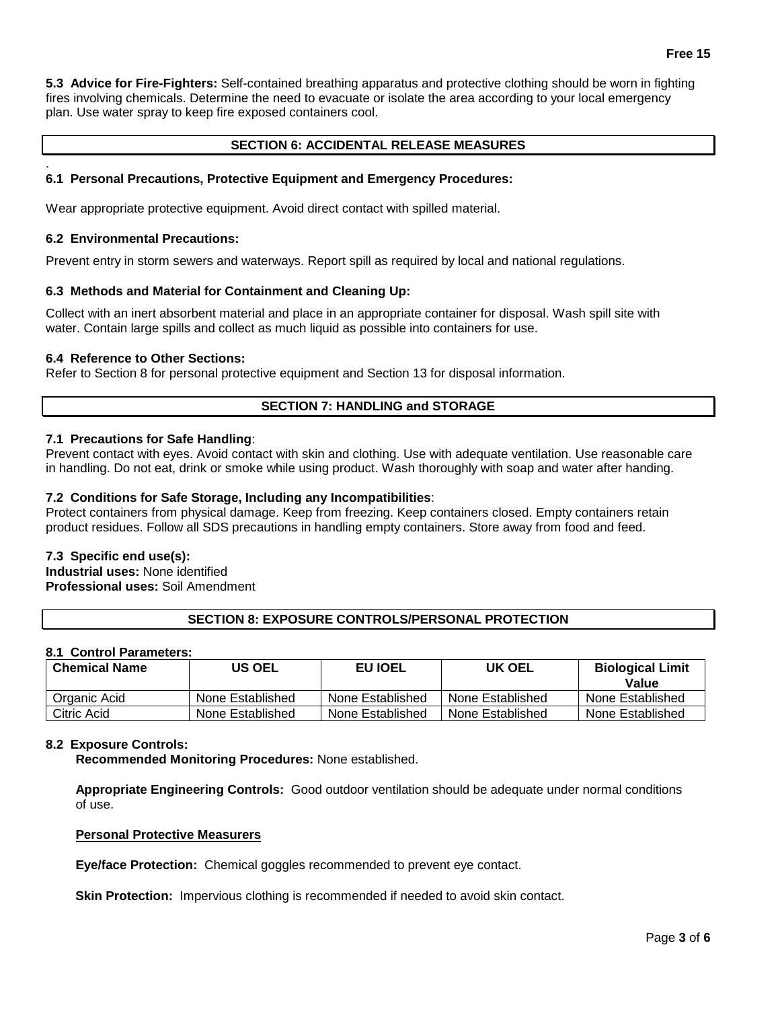**5.3 Advice for Fire-Fighters:** Self-contained breathing apparatus and protective clothing should be worn in fighting fires involving chemicals. Determine the need to evacuate or isolate the area according to your local emergency plan. Use water spray to keep fire exposed containers cool.

# **SECTION 6: ACCIDENTAL RELEASE MEASURES**

## **6.1 Personal Precautions, Protective Equipment and Emergency Procedures:**

Wear appropriate protective equipment. Avoid direct contact with spilled material.

#### **6.2 Environmental Precautions:**

.

Prevent entry in storm sewers and waterways. Report spill as required by local and national regulations.

## **6.3 Methods and Material for Containment and Cleaning Up:**

Collect with an inert absorbent material and place in an appropriate container for disposal. Wash spill site with water. Contain large spills and collect as much liquid as possible into containers for use.

#### **6.4 Reference to Other Sections:**

Refer to Section 8 for personal protective equipment and Section 13 for disposal information.

## **SECTION 7: HANDLING and STORAGE**

## **7.1 Precautions for Safe Handling**:

Prevent contact with eyes. Avoid contact with skin and clothing. Use with adequate ventilation. Use reasonable care in handling. Do not eat, drink or smoke while using product. Wash thoroughly with soap and water after handing.

## **7.2 Conditions for Safe Storage, Including any Incompatibilities**:

Protect containers from physical damage. Keep from freezing. Keep containers closed. Empty containers retain product residues. Follow all SDS precautions in handling empty containers. Store away from food and feed.

## **7.3 Specific end use(s):**

**Industrial uses:** None identified **Professional uses:** Soil Amendment

## **SECTION 8: EXPOSURE CONTROLS/PERSONAL PROTECTION**

## **8.1 Control Parameters:**

| <b>Chemical Name</b> | US OEL           | <b>EU IOEL</b>   | UK OEL           | <b>Biological Limit</b><br>Value |
|----------------------|------------------|------------------|------------------|----------------------------------|
| Organic Acid         | None Established | None Established | None Established | None Established                 |
| Citric Acid          | None Established | None Established | None Established | None Established                 |

#### **8.2 Exposure Controls:**

**Recommended Monitoring Procedures:** None established.

**Appropriate Engineering Controls:** Good outdoor ventilation should be adequate under normal conditions of use.

#### **Personal Protective Measurers**

**Eye/face Protection:** Chemical goggles recommended to prevent eye contact.

**Skin Protection:** Impervious clothing is recommended if needed to avoid skin contact.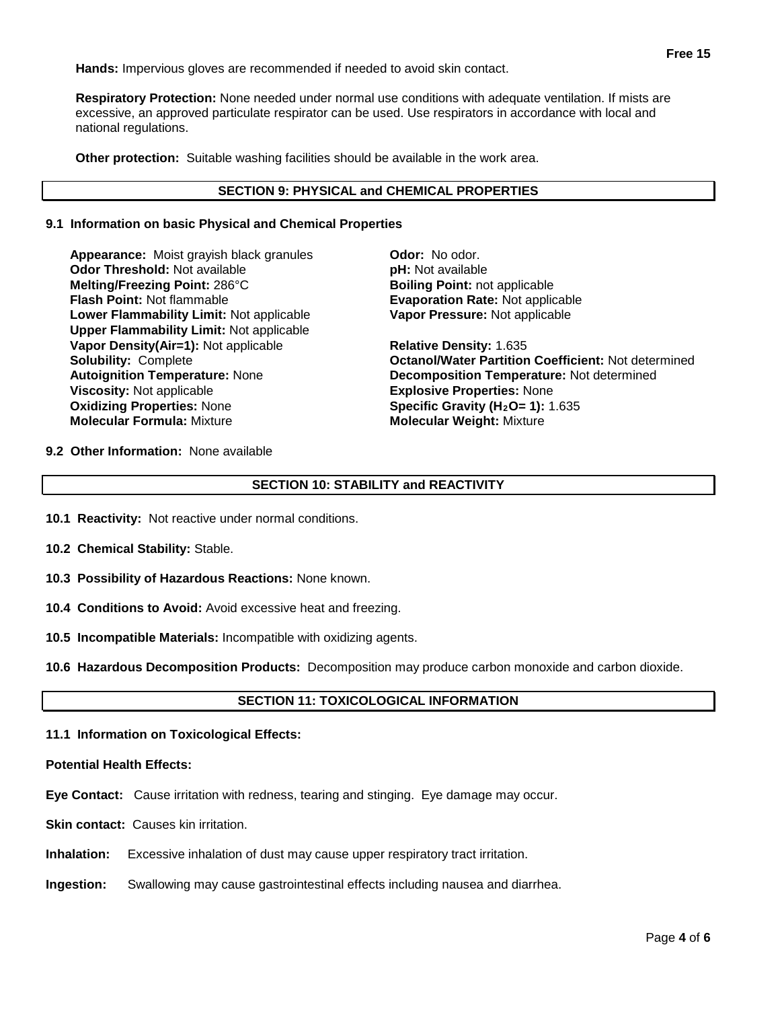**Hands:** Impervious gloves are recommended if needed to avoid skin contact.

**Respiratory Protection:** None needed under normal use conditions with adequate ventilation. If mists are excessive, an approved particulate respirator can be used. Use respirators in accordance with local and national regulations.

**Other protection:** Suitable washing facilities should be available in the work area.

# **SECTION 9: PHYSICAL and CHEMICAL PROPERTIES**

## **9.1 Information on basic Physical and Chemical Properties**

**Appearance:** Moist grayish black granules **Odor:** No odor. **Odor Threshold:** Not available *pH: Not available* **pH: Not available Melting/Freezing Point:** 286°C **Boiling Point:** not applicable **Flash Point:** Not flammable **Evaporation Rate:** Not applicable **Lower Flammability Limit:** Not applicable **Upper Flammability Limit:** Not applicable **Vapor Density(Air=1):** Not applicable **Relative Density:** 1.635 **Viscosity:** Not applicable **Explosive Properties:** None<br> **Oxidizing Properties:** None **Explosive Properties: 1):** 1 **Oxidizing Properties:** None **Specific Gravity (H<sub>2</sub>O= 1):** 1.635<br> **Molecular Formula:** Mixture **State of Molecular Weight:** Mixture

**Vapor Pressure:** Not applicable

**Solubility:** Complete **Octanol/Water Partition Coefficient:** Not determined **Autoignition Temperature:** None **Decomposition Temperature:** Not determined **Molecular Weight: Mixture** 

**9.2 Other Information:** None available

# **SECTION 10: STABILITY and REACTIVITY**

- **10.1 Reactivity:** Not reactive under normal conditions.
- **10.2 Chemical Stability:** Stable.
- **10.3 Possibility of Hazardous Reactions:** None known.
- **10.4 Conditions to Avoid:** Avoid excessive heat and freezing.
- **10.5 Incompatible Materials:** Incompatible with oxidizing agents.
- **10.6 Hazardous Decomposition Products:** Decomposition may produce carbon monoxide and carbon dioxide.

# **SECTION 11: TOXICOLOGICAL INFORMATION**

**11.1 Information on Toxicological Effects:** 

#### **Potential Health Effects:**

- **Eye Contact:** Cause irritation with redness, tearing and stinging. Eye damage may occur.
- **Skin contact:** Causes kin irritation.
- **Inhalation:** Excessive inhalation of dust may cause upper respiratory tract irritation.
- **Ingestion:** Swallowing may cause gastrointestinal effects including nausea and diarrhea.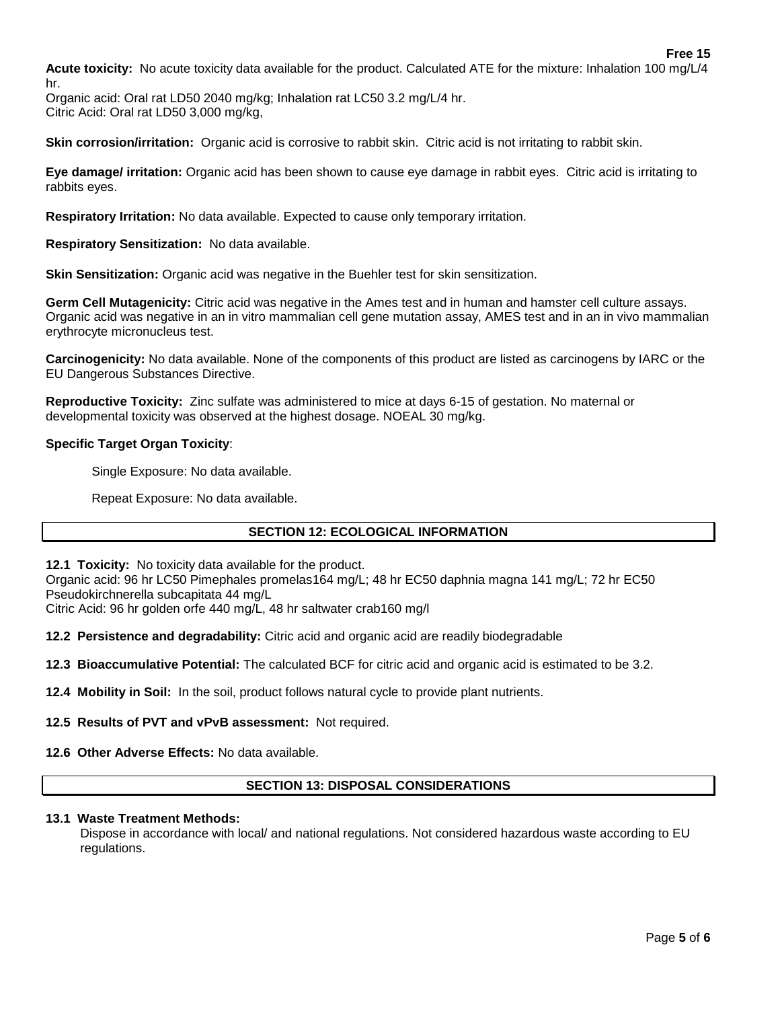**Acute toxicity:** No acute toxicity data available for the product. Calculated ATE for the mixture: Inhalation 100 mg/L/4 hr.

Organic acid: Oral rat LD50 2040 mg/kg; Inhalation rat LC50 3.2 mg/L/4 hr. Citric Acid: Oral rat LD50 3,000 mg/kg,

**Skin corrosion/irritation:** Organic acid is corrosive to rabbit skin. Citric acid is not irritating to rabbit skin.

**Eye damage/ irritation:** Organic acid has been shown to cause eye damage in rabbit eyes. Citric acid is irritating to rabbits eyes.

**Respiratory Irritation:** No data available. Expected to cause only temporary irritation.

**Respiratory Sensitization:** No data available.

**Skin Sensitization:** Organic acid was negative in the Buehler test for skin sensitization.

**Germ Cell Mutagenicity:** Citric acid was negative in the Ames test and in human and hamster cell culture assays. Organic acid was negative in an in vitro mammalian cell gene mutation assay, AMES test and in an in vivo mammalian erythrocyte micronucleus test.

**Carcinogenicity:** No data available. None of the components of this product are listed as carcinogens by IARC or the EU Dangerous Substances Directive.

**Reproductive Toxicity:** Zinc sulfate was administered to mice at days 6-15 of gestation. No maternal or developmental toxicity was observed at the highest dosage. NOEAL 30 mg/kg.

# **Specific Target Organ Toxicity**:

Single Exposure: No data available.

Repeat Exposure: No data available.

# **SECTION 12: ECOLOGICAL INFORMATION**

**12.1 Toxicity:** No toxicity data available for the product.

Organic acid: 96 hr LC50 Pimephales promelas164 mg/L; 48 hr EC50 daphnia magna 141 mg/L; 72 hr EC50 Pseudokirchnerella subcapitata 44 mg/L

Citric Acid: 96 hr golden orfe 440 mg/L, 48 hr saltwater crab160 mg/l

**12.2 Persistence and degradability:** Citric acid and organic acid are readily biodegradable

**12.3 Bioaccumulative Potential:** The calculated BCF for citric acid and organic acid is estimated to be 3.2.

**12.4 Mobility in Soil:** In the soil, product follows natural cycle to provide plant nutrients.

**12.5 Results of PVT and vPvB assessment:** Not required.

**12.6 Other Adverse Effects:** No data available.

# **SECTION 13: DISPOSAL CONSIDERATIONS**

## **13.1 Waste Treatment Methods:**

Dispose in accordance with local/ and national regulations. Not considered hazardous waste according to EU regulations.

**Free 15**